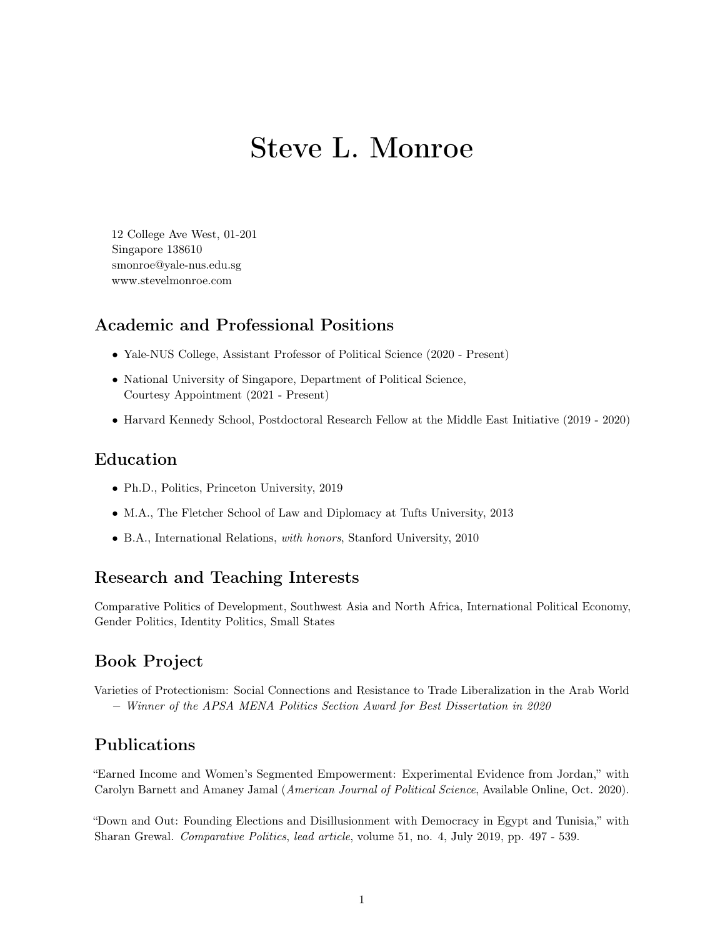# Steve L. Monroe

<span id="page-0-0"></span>12 College Ave West, 01-201 Singapore 138610 smonroe@yale-nus.edu.sg www.stevelmonroe.com

### Academic and Professional Positions

- Yale-NUS College, Assistant Professor of Political Science (2020 Present)
- National University of Singapore, Department of Political Science, Courtesy Appointment (2021 - Present)
- Harvard Kennedy School, Postdoctoral Research Fellow at the Middle East Initiative (2019 2020)

#### Education

- Ph.D., Politics, Princeton University, 2019
- M.A., The Fletcher School of Law and Diplomacy at Tufts University, 2013
- B.A., International Relations, with honors, Stanford University, 2010

#### Research and Teaching Interests

Comparative Politics of Development, Southwest Asia and North Africa, International Political Economy, Gender Politics, Identity Politics, Small States

## Book Project

Varieties of Protectionism: Social Connections and Resistance to Trade Liberalization in the Arab World − Winner of the APSA MENA Politics Section Award for Best Dissertation in 2020

### Publications

"Earned Income and Women's Segmented Empowerment: Experimental Evidence from Jordan," with Carolyn Barnett and Amaney Jamal (American Journal of Political Science, Available Online, Oct. 2020).

"Down and Out: Founding Elections and Disillusionment with Democracy in Egypt and Tunisia," with Sharan Grewal. Comparative Politics, lead article, volume 51, no. 4, July 2019, pp. 497 - 539.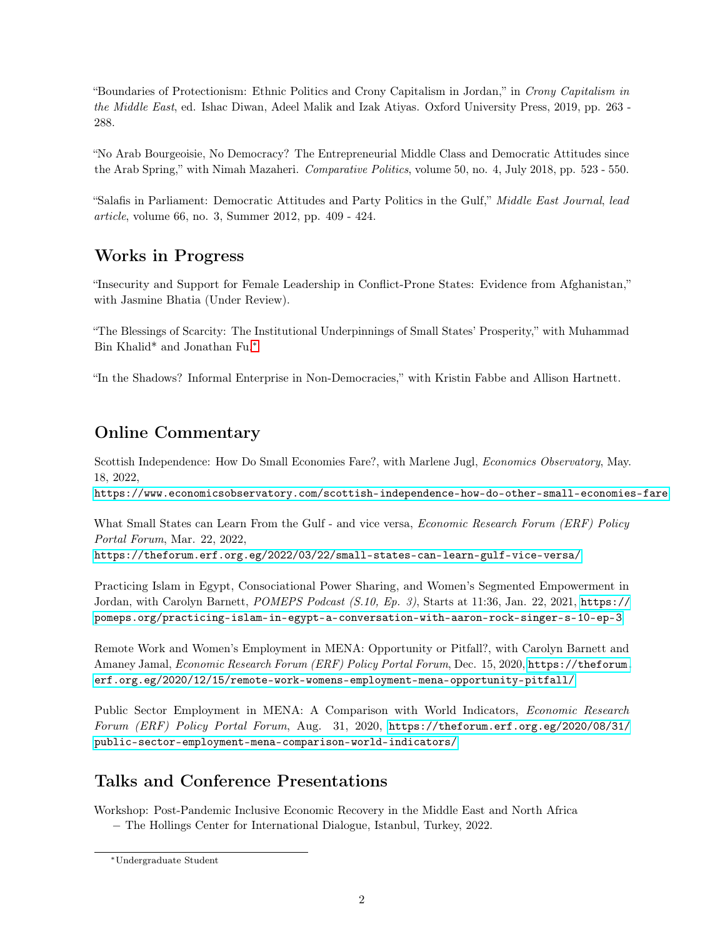"Boundaries of Protectionism: Ethnic Politics and Crony Capitalism in Jordan," in Crony Capitalism in the Middle East, ed. Ishac Diwan, Adeel Malik and Izak Atiyas. Oxford University Press, 2019, pp. 263 - 288.

"No Arab Bourgeoisie, No Democracy? The Entrepreneurial Middle Class and Democratic Attitudes since the Arab Spring," with Nimah Mazaheri. Comparative Politics, volume 50, no. 4, July 2018, pp. 523 - 550.

"Salafis in Parliament: Democratic Attitudes and Party Politics in the Gulf," Middle East Journal, lead article, volume 66, no. 3, Summer 2012, pp. 409 - 424.

# Works in Progress

"Insecurity and Support for Female Leadership in Conflict-Prone States: Evidence from Afghanistan," with Jasmine Bhatia (Under Review).

"The Blessings of Scarcity: The Institutional Underpinnings of Small States' Prosperity," with Muhammad Bin Khalid\* and Jonathan Fu.[∗](#page-0-0)

"In the Shadows? Informal Enterprise in Non-Democracies," with Kristin Fabbe and Allison Hartnett.

# Online Commentary

Scottish Independence: How Do Small Economies Fare?, with Marlene Jugl, *Economics Observatory*, May. 18, 2022,

<https://www.economicsobservatory.com/scottish-independence-how-do-other-small-economies-fare>

What Small States can Learn From the Gulf - and vice versa, *Economic Research Forum (ERF) Policy* Portal Forum, Mar. 22, 2022,

<https://theforum.erf.org.eg/2022/03/22/small-states-can-learn-gulf-vice-versa/>

Practicing Islam in Egypt, Consociational Power Sharing, and Women's Segmented Empowerment in Jordan, with Carolyn Barnett, POMEPS Podcast (S.10, Ep. 3), Starts at 11:36, Jan. 22, 2021, [https://](https://pomeps.org/practicing-islam-in-egypt-a-conversation-with-aaron-rock-singer-s-10-ep-3) [pomeps.org/practicing-islam-in-egypt-a-conversation-with-aaron-rock-singer-s-10-ep-3](https://pomeps.org/practicing-islam-in-egypt-a-conversation-with-aaron-rock-singer-s-10-ep-3)

Remote Work and Women's Employment in MENA: Opportunity or Pitfall?, with Carolyn Barnett and Amaney Jamal, Economic Research Forum (ERF) Policy Portal Forum, Dec. 15, 2020, [https://theforum.](https://theforum.erf.org.eg/2020/12/15/remote-work-womens-employment-mena-opportunity-pitfall/) [erf.org.eg/2020/12/15/remote-work-womens-employment-mena-opportunity-pitfall/](https://theforum.erf.org.eg/2020/12/15/remote-work-womens-employment-mena-opportunity-pitfall/)

Public Sector Employment in MENA: A Comparison with World Indicators, Economic Research Forum (ERF) Policy Portal Forum, Aug. 31, 2020, [https://theforum.erf.org.eg/2020/08/31/](https://theforum.erf.org.eg/2020/08/31/public-sector-employment-mena-comparison-world-indicators/) [public-sector-employment-mena-comparison-world-indicators/](https://theforum.erf.org.eg/2020/08/31/public-sector-employment-mena-comparison-world-indicators/)

## Talks and Conference Presentations

Workshop: Post-Pandemic Inclusive Economic Recovery in the Middle East and North Africa

− The Hollings Center for International Dialogue, Istanbul, Turkey, 2022.

<sup>∗</sup>Undergraduate Student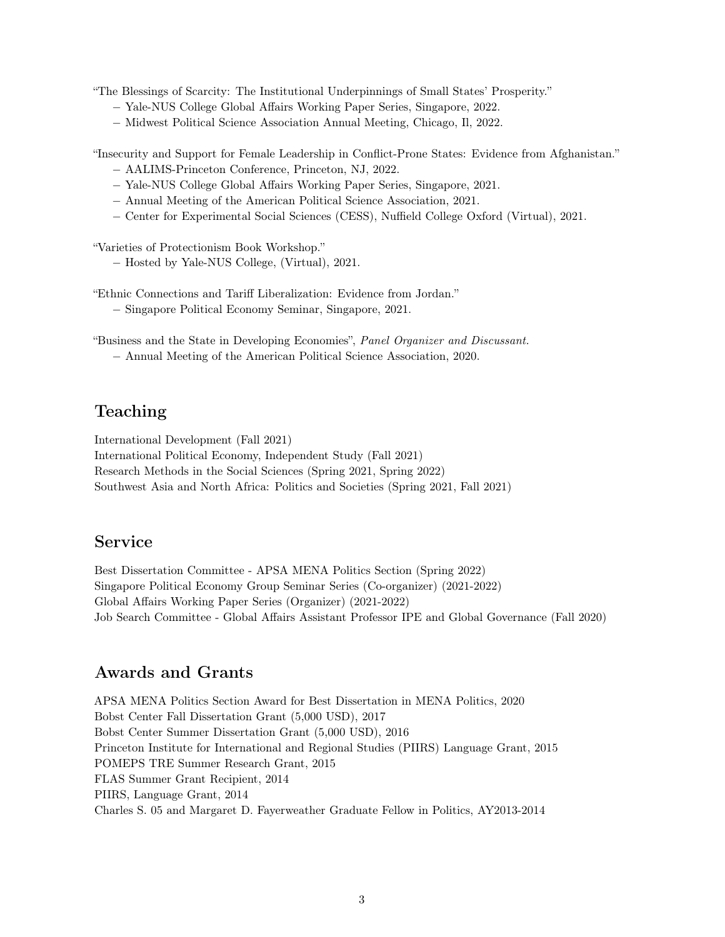"The Blessings of Scarcity: The Institutional Underpinnings of Small States' Prosperity."

- − Yale-NUS College Global Affairs Working Paper Series, Singapore, 2022.
- − Midwest Political Science Association Annual Meeting, Chicago, Il, 2022.

"Insecurity and Support for Female Leadership in Conflict-Prone States: Evidence from Afghanistan." − AALIMS-Princeton Conference, Princeton, NJ, 2022.

- − Yale-NUS College Global Affairs Working Paper Series, Singapore, 2021.
- − Annual Meeting of the American Political Science Association, 2021.
- − Center for Experimental Social Sciences (CESS), Nuffield College Oxford (Virtual), 2021.

"Varieties of Protectionism Book Workshop."

− Hosted by Yale-NUS College, (Virtual), 2021.

"Ethnic Connections and Tariff Liberalization: Evidence from Jordan."

− Singapore Political Economy Seminar, Singapore, 2021.

"Business and the State in Developing Economies", Panel Organizer and Discussant.

− Annual Meeting of the American Political Science Association, 2020.

## Teaching

International Development (Fall 2021)

International Political Economy, Independent Study (Fall 2021)

Research Methods in the Social Sciences (Spring 2021, Spring 2022)

Southwest Asia and North Africa: Politics and Societies (Spring 2021, Fall 2021)

### Service

Best Dissertation Committee - APSA MENA Politics Section (Spring 2022) Singapore Political Economy Group Seminar Series (Co-organizer) (2021-2022) Global Affairs Working Paper Series (Organizer) (2021-2022) Job Search Committee - Global Affairs Assistant Professor IPE and Global Governance (Fall 2020)

#### Awards and Grants

APSA MENA Politics Section Award for Best Dissertation in MENA Politics, 2020 Bobst Center Fall Dissertation Grant (5,000 USD), 2017 Bobst Center Summer Dissertation Grant (5,000 USD), 2016 Princeton Institute for International and Regional Studies (PIIRS) Language Grant, 2015 POMEPS TRE Summer Research Grant, 2015 FLAS Summer Grant Recipient, 2014 PIIRS, Language Grant, 2014 Charles S. 05 and Margaret D. Fayerweather Graduate Fellow in Politics, AY2013-2014